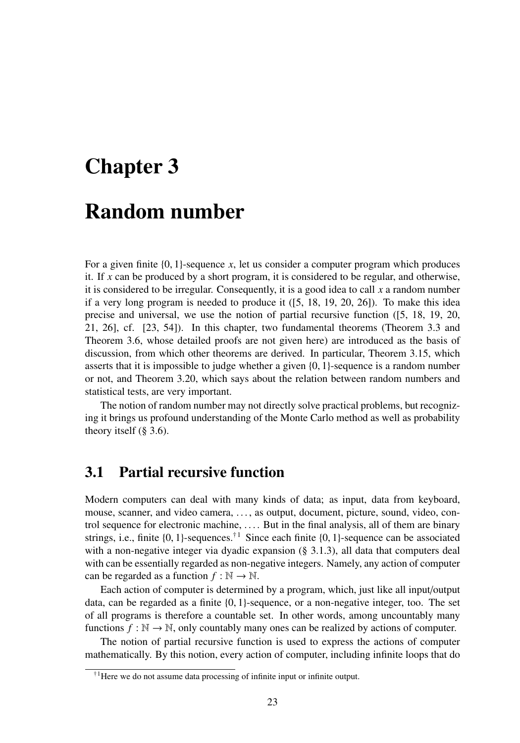# Chapter 3

## Random number

For a given finite {0, 1}-sequence *x*, let us consider a computer program which produces it. If *x* can be produced by a short program, it is considered to be regular, and otherwise, it is considered to be irregular. Consequently, it is a good idea to call *x* a random number if a very long program is needed to produce it ([5, 18, 19, 20, 26]). To make this idea precise and universal, we use the notion of partial recursive function ([5, 18, 19, 20, 21, 26], cf. [23, 54]). In this chapter, two fundamental theorems (Theorem 3.3 and Theorem 3.6, whose detailed proofs are not given here) are introduced as the basis of discussion, from which other theorems are derived. In particular, Theorem 3.15, which asserts that it is impossible to judge whether a given {0, 1}-sequence is a random number or not, and Theorem 3.20, which says about the relation between random numbers and statistical tests, are very important.

The notion of random number may not directly solve practical problems, but recognizing it brings us profound understanding of the Monte Carlo method as well as probability theory itself  $(\S 3.6)$ .

## 3.1 Partial recursive function

Modern computers can deal with many kinds of data; as input, data from keyboard, mouse, scanner, and video camera, . . . , as output, document, picture, sound, video, control sequence for electronic machine, . . . . But in the final analysis, all of them are binary strings, i.e., finite  $\{0, 1\}$ -sequences.<sup>†1</sup> Since each finite  $\{0, 1\}$ -sequence can be associated with a non-negative integer via dyadic expansion  $(\S 3.1.3)$ , all data that computers deal with can be essentially regarded as non-negative integers. Namely, any action of computer can be regarded as a function  $f : \mathbb{N} \to \mathbb{N}$ .

Each action of computer is determined by a program, which, just like all input/output data, can be regarded as a finite {0, 1}-sequence, or a non-negative integer, too. The set of all programs is therefore a countable set. In other words, among uncountably many functions  $f : \mathbb{N} \to \mathbb{N}$ , only countably many ones can be realized by actions of computer.

The notion of partial recursive function is used to express the actions of computer mathematically. By this notion, every action of computer, including infinite loops that do

 $\dagger$ <sup>1</sup>Here we do not assume data processing of infinite input or infinite output.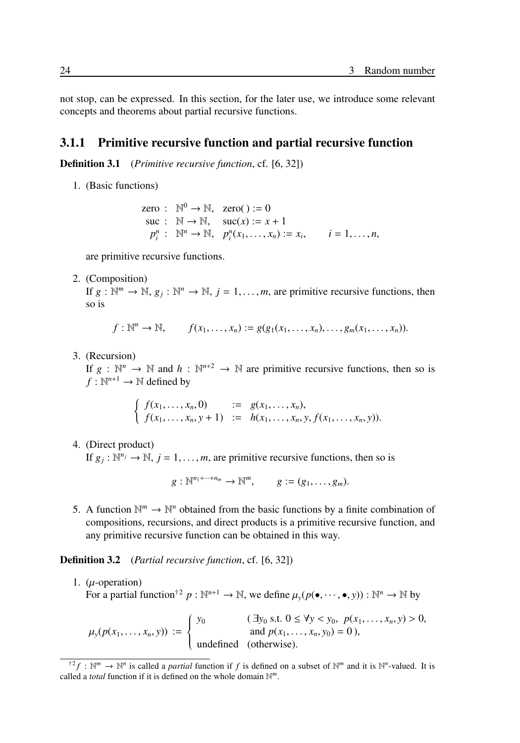not stop, can be expressed. In this section, for the later use, we introduce some relevant concepts and theorems about partial recursive functions.

#### 3.1.1 Primitive recursive function and partial recursive function

Definition 3.1 (*Primitive recursive function*, cf. [6, 32])

1. (Basic functions)

zero :  $\mathbb{N}^0 \to \mathbb{N}$ , zero() := 0  $suc : \mathbb{N} \to \mathbb{N}, \quad suc(x) := x + 1$  $p_i^n$  :  $\mathbb{N}^n \to \mathbb{N}$ ,  $p_i^n(x_1, ..., x_n) := x_i$ ,  $i = 1, ..., n$ ,

are primitive recursive functions.

2. (Composition)

If  $g: \mathbb{N}^m \to \mathbb{N}, g_j: \mathbb{N}^n \to \mathbb{N}, j = 1, \ldots, m$ , are primitive recursive functions, then so is

$$
f:\mathbb{N}^n\to\mathbb{N},\qquad f(x_1,\ldots,x_n):=g(g_1(x_1,\ldots,x_n),\ldots,g_m(x_1,\ldots,x_n)).
$$

3. (Recursion)

If  $g : \mathbb{N}^n \to \mathbb{N}$  and  $h : \mathbb{N}^{n+2} \to \mathbb{N}$  are primitive recursive functions, then so is  $f: \mathbb{N}^{n+1} \to \mathbb{N}$  defined by

> $f(x_1, ..., x_n, 0)$  :=  $g(x_1, ..., x_n)$ ,  $f(x_1, \ldots, x_n, y + 1) \quad := \quad h(x_1, \ldots, x_n, y, f(x_1, \ldots, x_n, y)).$

4. (Direct product)

If  $g_j : \mathbb{N}^{n_j} \to \mathbb{N}$ ,  $j = 1, ..., m$ , are primitive recursive functions, then so is

 $g: \mathbb{N}^{n_1 + \dots + n_m} \to \mathbb{N}^m$ ,  $g := (g_1, \dots, g_m)$ .

5. A function  $\mathbb{N}^m \to \mathbb{N}^n$  obtained from the basic functions by a finite combination of compositions, recursions, and direct products is a primitive recursive function, and any primitive recursive function can be obtained in this way.

Definition 3.2 (*Partial recursive function*, cf. [6, 32])

1.  $(\mu\text{-operation})$ For a partial function<sup>†2</sup>  $p : \mathbb{N}^{n+1} \to \mathbb{N}$ , we define  $\mu_y(p(\bullet, \dots, \bullet, y)) : \mathbb{N}^n \to \mathbb{N}$  by

 $\mu_y(p(x_1, \ldots, x_n, y)) :=$  $\left\{\right.$  $\overline{\mathcal{L}}$ *y*<sub>0</sub> (  $\exists y_0$  s.t.  $0 \le \forall y < y_0$ ,  $p(x_1, \ldots, x_n, y) > 0$ , and  $p(x_1, ..., x_n, y_0) = 0$ ), undefined (otherwise).

 $f^2 f : \mathbb{N}^m \to \mathbb{N}^n$  is called a *partial* function if f is defined on a subset of  $\mathbb{N}^m$  and it is  $\mathbb{N}^n$ -valued. It is called a *total* function if it is defined on the whole domain N *m*.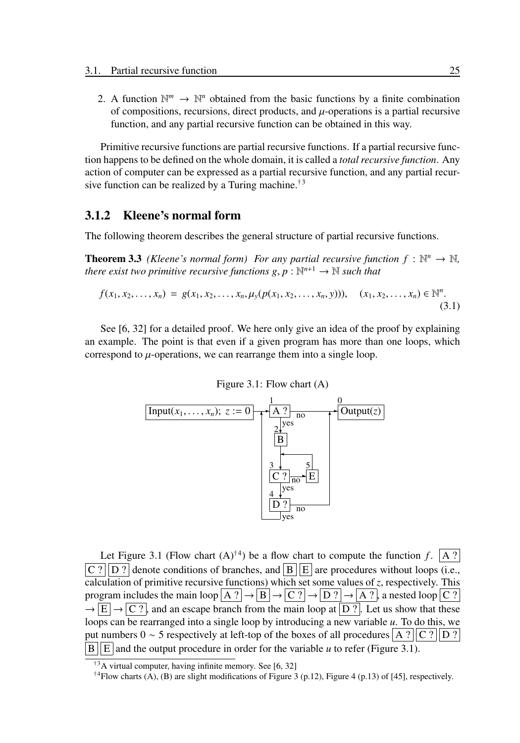2. A function  $\mathbb{N}^m \to \mathbb{N}^n$  obtained from the basic functions by a finite combination of compositions, recursions, direct products, and  $\mu$ -operations is a partial recursive function, and any partial recursive function can be obtained in this way.

Primitive recursive functions are partial recursive functions. If a partial recursive function happens to be defined on the whole domain, it is called a *total recursive function*. Any action of computer can be expressed as a partial recursive function, and any partial recursive function can be realized by a Turing machine.<sup>†3</sup>

#### 3.1.2 Kleene's normal form

The following theorem describes the general structure of partial recursive functions.

**Theorem 3.3** (Kleene's normal form) For any partial recursive function  $f : \mathbb{N}^n \to \mathbb{N}$ , there exist two primitive recursive functions  $g, p : \mathbb{N}^{n+1} \to \mathbb{N}$  such that

$$
f(x_1, x_2,..., x_n) = g(x_1, x_2,..., x_n, \mu_y(p(x_1, x_2,..., x_n, y))), \quad (x_1, x_2,..., x_n) \in \mathbb{N}^n.
$$
\n(3.1)

See [6, 32] for a detailed proof. We here only give an idea of the proof by explaining an example. The point is that even if a given program has more than one loops, which correspond to  $\mu$ -operations, we can rearrange them into a single loop.



Let Figure 3.1 (Flow chart  $(A)^{\dagger 4}$ ) be a flow chart to compute the function *f*.  $\boxed{A}$ ?  $\boxed{C$  ?  $\boxed{D}$  ? denote conditions of branches, and  $\boxed{B}$   $\boxed{E}$  are procedures without loops (i.e., calculation of primitive recursive functions) which set some values of *z*, respectively. This program includes the main loop  $|A|^2 \rightarrow |B| \rightarrow |C|^2 \rightarrow |D|^2 \rightarrow |A|^2$ , a nested loop  $|C|^2$  $\rightarrow$   $\boxed{E}$   $\rightarrow$   $\boxed{C}$ ?, and an escape branch from the main loop at  $\boxed{D}$ ?. Let us show that these loops can be rearranged into a single loop by introducing a new variable *u*. To do this, we put numbers 0 ∼ 5 respectively at left-top of the boxes of all procedures  $A$  ?  $||C$  ?  $||D$  ?  $|B||E|$  and the output procedure in order for the variable *u* to refer (Figure 3.1).

<sup>†</sup><sup>3</sup>A virtual computer, having infinite memory. See [6, 32]

<sup>&</sup>lt;sup>†4</sup>Flow charts (A), (B) are slight modifications of Figure 3 (p.12), Figure 4 (p.13) of [45], respectively.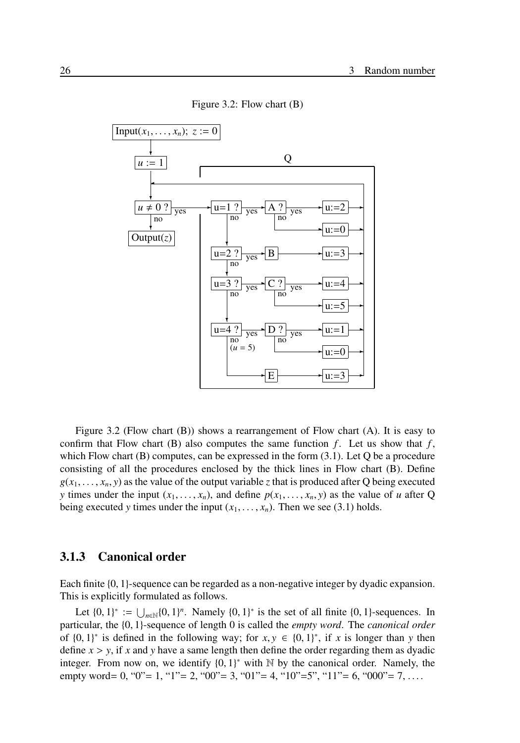Figure 3.2: Flow chart (B)



Figure 3.2 (Flow chart (B)) shows a rearrangement of Flow chart (A). It is easy to confirm that Flow chart (B) also computes the same function  $f$ . Let us show that  $f$ , which Flow chart  $(B)$  computes, can be expressed in the form  $(3.1)$ . Let Q be a procedure consisting of all the procedures enclosed by the thick lines in Flow chart (B). Define  $g(x_1, \ldots, x_n, y)$  as the value of the output variable *z* that is produced after Q being executed *y* times under the input  $(x_1, \ldots, x_n)$ , and define  $p(x_1, \ldots, x_n, y)$  as the value of *u* after Q being executed *y* times under the input  $(x_1, \ldots, x_n)$ . Then we see (3.1) holds.

#### 3.1.3 Canonical order

Each finite {0, 1}-sequence can be regarded as a non-negative integer by dyadic expansion. This is explicitly formulated as follows.

Let  $\{0, 1\}^* := \bigcup_{n \in \mathbb{N}} \{0, 1\}^n$ . Namely  $\{0, 1\}^*$  is the set of all finite  $\{0, 1\}$ -sequences. In particular, the {0, 1}-sequence of length 0 is called the *empty word*. The *canonical order* of  $\{0, 1\}^*$  is defined in the following way; for  $x, y \in \{0, 1\}^*$ , if *x* is longer than *y* then define  $x > y$ , if x and y have a same length then define the order regarding them as dyadic integer. From now on, we identify  $\{0, 1\}^*$  with  $\mathbb N$  by the canonical order. Namely, the empty word= 0, "0"= 1, "1"= 2, "00"= 3, "01"= 4, "10"=5", "11"= 6, "000"= 7, ...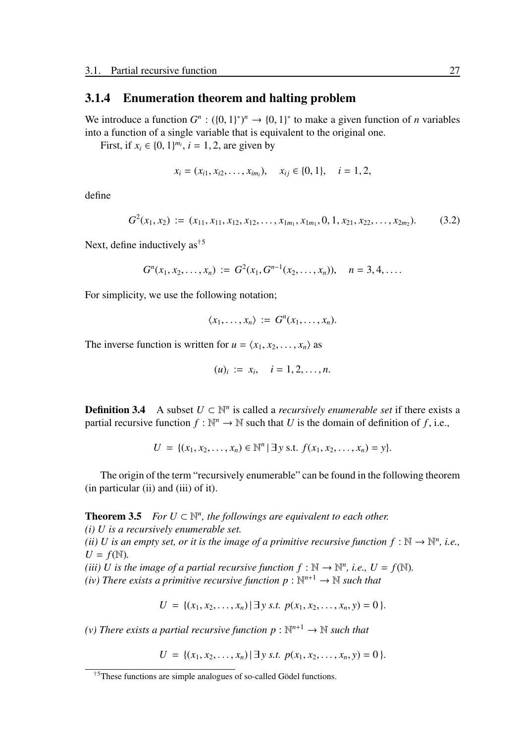#### 3.1.4 Enumeration theorem and halting problem

We introduce a function  $G^n : (\{0, 1\})^n \to \{0, 1\}^*$  to make a given function of *n* variables into a function of a single variable that is equivalent to the original one.

First, if  $x_i \in \{0, 1\}^{m_i}$ ,  $i = 1, 2$ , are given by

$$
x_i = (x_{i1}, x_{i2}, \dots, x_{im_i}), \quad x_{ij} \in \{0, 1\}, \quad i = 1, 2,
$$

define

$$
G^{2}(x_{1}, x_{2}) := (x_{11}, x_{11}, x_{12}, x_{12}, \ldots, x_{1m_{1}}, x_{1m_{1}}, 0, 1, x_{21}, x_{22}, \ldots, x_{2m_{2}}). \hspace{1cm} (3.2)
$$

Next, define inductively as<sup>†5</sup>

$$
G^{n}(x_{1}, x_{2},..., x_{n}) := G^{2}(x_{1}, G^{n-1}(x_{2},..., x_{n})), \quad n = 3, 4, ....
$$

For simplicity, we use the following notation;

$$
\langle x_1,\ldots,x_n\rangle := G^n(x_1,\ldots,x_n).
$$

The inverse function is written for  $u = \langle x_1, x_2, \dots, x_n \rangle$  as

$$
(u)_i := x_i, \quad i = 1, 2, \dots, n.
$$

**Definition 3.4** A subset  $U \subset \mathbb{N}^n$  is called a *recursively enumerable set* if there exists a partial recursive function  $f : \mathbb{N}^n \to \mathbb{N}$  such that *U* is the domain of definition of *f*, i.e.,

$$
U = \{ (x_1, x_2, \dots, x_n) \in \mathbb{N}^n \mid \exists y \text{ s.t. } f(x_1, x_2, \dots, x_n) = y \}.
$$

The origin of the term "recursively enumerable" can be found in the following theorem (in particular (ii) and (iii) of it).

**Theorem 3.5** *For*  $U \subset \mathbb{N}^n$ *, the followings are equivalent to each other. (i) U is a recursively enumerable set.*

*(ii) U is an empty set, or it is the image of a primitive recursive function*  $f : \mathbb{N} \to \mathbb{N}^n$ *, i.e.,*  $U = f(\mathbb{N}).$ 

*(iii) U* is the image of a partial recursive function  $f : \mathbb{N} \to \mathbb{N}^n$ , i.e.,  $U = f(\mathbb{N})$ . *(iv)* There exists a primitive recursive function  $p : \mathbb{N}^{n+1} \to \mathbb{N}$  such that

$$
U = \{ (x_1, x_2, \ldots, x_n) \mid \exists y \text{ s.t. } p(x_1, x_2, \ldots, x_n, y) = 0 \}.
$$

*(v)* There exists a partial recursive function  $p : \mathbb{N}^{n+1} \to \mathbb{N}$  such that

 $U = \{ (x_1, x_2, \ldots, x_n) \mid \exists y \text{ s.t. } p(x_1, x_2, \ldots, x_n, y) = 0 \}.$ 

 $\beta$ <sup>†5</sup>These functions are simple analogues of so-called Gödel functions.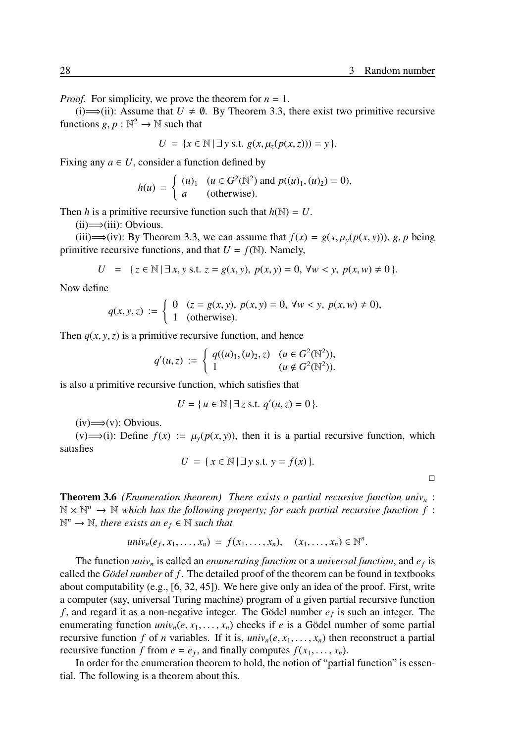*Proof.* For simplicity, we prove the theorem for  $n = 1$ .

(i)  $\implies$  (ii): Assume that *U* ≠ Ø. By Theorem 3.3, there exist two primitive recursive functions  $g, p : \mathbb{N}^2 \to \mathbb{N}$  such that

$$
U = \{x \in \mathbb{N} \mid \exists y \text{ s.t. } g(x, \mu_z(p(x, z))) = y\}.
$$

Fixing any  $a \in U$ , consider a function defined by

$$
h(u) = \begin{cases} (u)_1 & (u \in G^2(\mathbb{N}^2) \text{ and } p((u)_1, (u)_2) = 0), \\ a & \text{(otherwise).} \end{cases}
$$

Then *h* is a primitive recursive function such that  $h(\mathbb{N}) = U$ .

 $(ii) \implies (iii)$ : Obvious.

(iii)⇒(iv): By Theorem 3.3, we can assume that  $f(x) = g(x, \mu_y(p(x, y)))$ , *g*, *p* being primitive recursive functions, and that  $U = f(\mathbb{N})$ . Namely,

$$
U = \{ z \in \mathbb{N} \mid \exists x, y \text{ s.t. } z = g(x, y), \ p(x, y) = 0, \ \forall w < y, \ p(x, w) \neq 0 \}.
$$

Now define

$$
q(x, y, z) := \begin{cases} 0 & (z = g(x, y), p(x, y) = 0, \forall w < y, p(x, w) \neq 0, \\ 1 & \text{(otherwise)}. \end{cases}
$$

Then  $q(x, y, z)$  is a primitive recursive function, and hence

$$
q'(u,z) := \begin{cases} q((u)_1,(u)_2,z) & (u \in G^2(\mathbb{N}^2)), \\ 1 & (u \notin G^2(\mathbb{N}^2)). \end{cases}
$$

is also a primitive recursive function, which satisfies that

$$
U = \{ u \in \mathbb{N} \mid \exists z \text{ s.t. } q'(u, z) = 0 \}.
$$

 $(iv) \implies (v)$ : Obvious.

(v)  $\implies$ (i): Define  $f(x) := \mu_y(p(x, y))$ , then it is a partial recursive function, which satisfies

$$
U = \{ x \in \mathbb{N} \mid \exists y \text{ s.t. } y = f(x) \}.
$$

□

Theorem 3.6 *(Enumeration theorem) There exists a partial recursive function univ<sup>n</sup>* :  $\mathbb{N} \times \mathbb{N}^n \to \mathbb{N}$  which has the following property; for each partial recursive function f:  $\mathbb{N}^n \to \mathbb{N}$ , there exists an  $e_f \in \mathbb{N}$  such that

$$
univ_n(e_f,x_1,\ldots,x_n) = f(x_1,\ldots,x_n), \quad (x_1,\ldots,x_n) \in \mathbb{N}^n.
$$

The function *univ<sub>n</sub>* is called an *enumerating function* or a *universal function*, and  $e_f$  is called the *Gödel number* of *f*. The detailed proof of the theorem can be found in textbooks about computability (e.g.,  $[6, 32, 45]$ ). We here give only an idea of the proof. First, write a computer (say, universal Turing machine) program of a given partial recursive function *f*, and regard it as a non-negative integer. The Gödel number  $e_f$  is such an integer. The enumerating function  $univ_n(e, x_1, \ldots, x_n)$  checks if *e* is a Gödel number of some partial recursive function *f* of *n* variables. If it is,  $univ_n(e, x_1, \ldots, x_n)$  then reconstruct a partial recursive function *f* from  $e = e_f$ , and finally computes  $f(x_1, \ldots, x_n)$ .

In order for the enumeration theorem to hold, the notion of "partial function" is essential. The following is a theorem about this.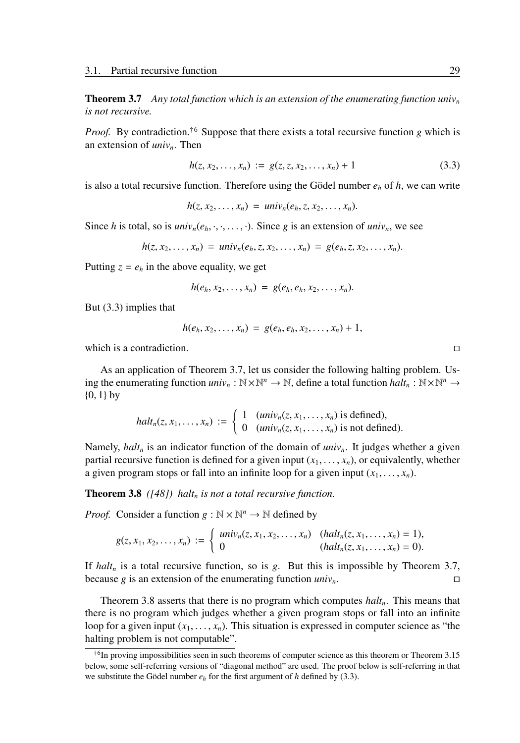Theorem 3.7 *Any total function which is an extension of the enumerating function univ<sup>n</sup> is not recursive.*

*Proof.* By contradiction.<sup>†6</sup> Suppose that there exists a total recursive function *g* which is an extension of *univn*. Then

$$
h(z, x_2, \dots, x_n) := g(z, z, x_2, \dots, x_n) + 1 \tag{3.3}
$$

is also a total recursive function. Therefore using the Gödel number  $e_h$  of  $h$ , we can write

$$
h(z, x_2, \ldots, x_n) = univ_n(e_h, z, x_2, \ldots, x_n).
$$

Since *h* is total, so is  $univ_n(e_h, \cdot, \cdot, \ldots, \cdot)$ . Since *g* is an extension of *univ<sub>n</sub>*, we see

$$
h(z, x_2,..., x_n) = univ_n(e_h, z, x_2,..., x_n) = g(e_h, z, x_2,..., x_n).
$$

Putting  $z = e_h$  in the above equality, we get

$$
h(e_h,x_2,\ldots,x_n) = g(e_h,e_h,x_2,\ldots,x_n).
$$

But (3.3) implies that

$$
h(e_h, x_2, \ldots, x_n) = g(e_h, e_h, x_2, \ldots, x_n) + 1,
$$

which is a contradiction.  $\Box$ 

As an application of Theorem 3.7, let us consider the following halting problem. Using the enumerating function  $univ_n : \mathbb{N} \times \mathbb{N}^n \to \mathbb{N}$ , define a total function  $halt_n : \mathbb{N} \times \mathbb{N}^n \to$  ${0, 1}$  by

$$
halt_n(z, x_1, \ldots, x_n) := \begin{cases} 1 & (univ_n(z, x_1, \ldots, x_n) \text{ is defined}), \\ 0 & (univ_n(z, x_1, \ldots, x_n) \text{ is not defined}). \end{cases}
$$

Namely, *halt<sup>n</sup>* is an indicator function of the domain of *univn*. It judges whether a given partial recursive function is defined for a given input  $(x_1, \ldots, x_n)$ , or equivalently, whether a given program stops or fall into an infinite loop for a given input  $(x_1, \ldots, x_n)$ .

Theorem 3.8 *([48]) halt<sup>n</sup> is not a total recursive function.*

*Proof.* Consider a function  $g : \mathbb{N} \times \mathbb{N}^n \to \mathbb{N}$  defined by

$$
g(z, x_1, x_2, \ldots, x_n) := \begin{cases} \text{univ}_n(z, x_1, x_2, \ldots, x_n) & (\text{halt}_n(z, x_1, \ldots, x_n) = 1), \\ 0 & (\text{halt}_n(z, x_1, \ldots, x_n) = 0). \end{cases}
$$

If  $halt_n$  is a total recursive function, so is *g*. But this is impossible by Theorem 3.7, because *g* is an extension of the enumerating function  $univ_n$ . □

Theorem 3.8 asserts that there is no program which computes *haltn*. This means that there is no program which judges whether a given program stops or fall into an infinite loop for a given input  $(x_1, \ldots, x_n)$ . This situation is expressed in computer science as "the halting problem is not computable".

<sup>†</sup>6 In proving impossibilities seen in such theorems of computer science as this theorem or Theorem 3.15 below, some self-referring versions of "diagonal method" are used. The proof below is self-referring in that we substitute the Gödel number  $e_h$  for the first argument of *h* defined by (3.3).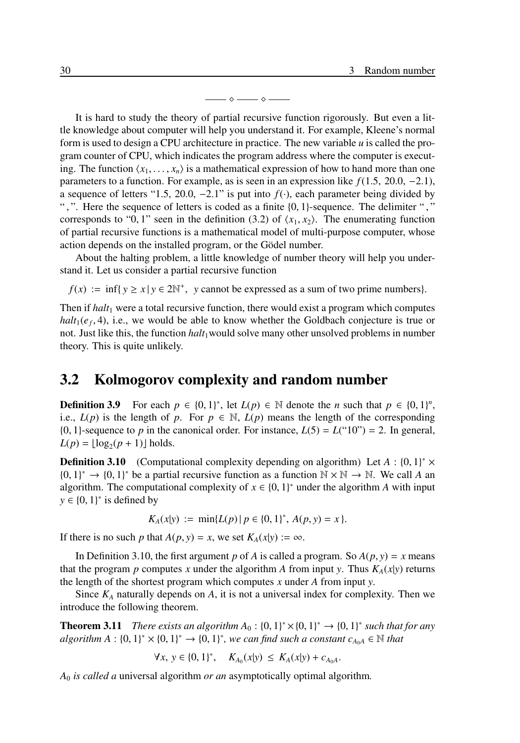—— ⋄ —— ⋄ ——

It is hard to study the theory of partial recursive function rigorously. But even a little knowledge about computer will help you understand it. For example, Kleene's normal form is used to design a CPU architecture in practice. The new variable *u* is called the program counter of CPU, which indicates the program address where the computer is executing. The function  $\langle x_1, \ldots, x_n \rangle$  is a mathematical expression of how to hand more than one parameters to a function. For example, as is seen in an expression like *f*(1.5, 20.0, −2.1), a sequence of letters "1.5, 20.0, -2.1" is put into  $f(\cdot)$ , each parameter being divided by ", ". Here the sequence of letters is coded as a finite  $\{0, 1\}$ -sequence. The delimiter "," corresponds to "0, 1" seen in the definition (3.2) of  $\langle x_1, x_2 \rangle$ . The enumerating function of partial recursive functions is a mathematical model of multi-purpose computer, whose action depends on the installed program, or the Gödel number.

About the halting problem, a little knowledge of number theory will help you understand it. Let us consider a partial recursive function

 $f(x) := \inf\{y \ge x \mid y \in 2\mathbb{N}^+, y \text{ cannot be expressed as a sum of two prime numbers}\}.$ 

Then if *halt*<sup>1</sup> were a total recursive function, there would exist a program which computes  $halt_1(e_f, 4)$ , i.e., we would be able to know whether the Goldbach conjecture is true or not. Just like this, the function *halt*<sub>1</sub> would solve many other unsolved problems in number theory. This is quite unlikely.

## 3.2 Kolmogorov complexity and random number

**Definition 3.9** For each  $p \in \{0, 1\}^*$ , let  $L(p) \in \mathbb{N}$  denote the *n* such that  $p \in \{0, 1\}^n$ , i.e.,  $L(p)$  is the length of *p*. For  $p \in \mathbb{N}$ ,  $L(p)$  means the length of the corresponding  ${0, 1}$ -sequence to *p* in the canonical order. For instance,  $L(5) = L("10") = 2$ . In general,  $L(p) = \lfloor \log_2(p+1) \rfloor$  holds.

**Definition 3.10** (Computational complexity depending on algorithm) Let  $A : \{0, 1\}^* \times$  ${0, 1}^* \rightarrow {0, 1}^*$  be a partial recursive function as a function  $N \times N \rightarrow N$ . We call *A* an algorithm. The computational complexity of  $x \in \{0, 1\}^*$  under the algorithm *A* with input  $y \in \{0, 1\}^*$  is defined by

$$
K_A(x|y) := \min\{L(p) | p \in \{0,1\}^*, A(p,y) = x\}.
$$

If there is no such *p* that  $A(p, y) = x$ , we set  $K_A(x|y) := \infty$ .

In Definition 3.10, the first argument *p* of *A* is called a program. So  $A(p, y) = x$  means that the program *p* computes *x* under the algorithm *A* from input *y*. Thus  $K_A(x|y)$  returns the length of the shortest program which computes *x* under *A* from input *y*.

Since  $K_A$  naturally depends on  $A$ , it is not a universal index for complexity. Then we introduce the following theorem.

**Theorem 3.11** *There exists an algorithm*  $A_0$ :  $\{0, 1\}^* \times \{0, 1\}^* \rightarrow \{0, 1\}^*$  such that for any  $algorithm A: \{0, 1\}^* \times \{0, 1\}^* \rightarrow \{0, 1\}^*$ , we can find such a constant  $c_{A_0A} \in \mathbb{N}$  that

$$
\forall x, y \in \{0, 1\}^*, \quad K_{A_0}(x|y) \leq K_A(x|y) + c_{A_0A}.
$$

*A*<sup>0</sup> *is called a* universal algorithm *or an* asymptotically optimal algorithm*.*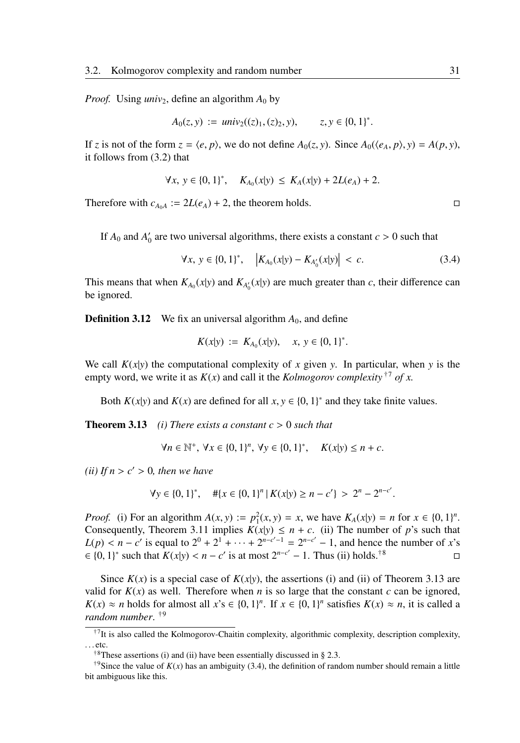*Proof.* Using  $univ_2$ , define an algorithm  $A_0$  by

$$
A_0(z, y) := univ_2((z)_1, (z)_2, y), \qquad z, y \in \{0, 1\}^*.
$$

If *z* is not of the form  $z = \langle e, p \rangle$ , we do not define  $A_0(z, y)$ . Since  $A_0(\langle e_A, p \rangle, y) = A(p, y)$ , it follows from (3.2) that

$$
\forall x, y \in \{0, 1\}^*, \quad K_{A_0}(x|y) \leq K_A(x|y) + 2L(e_A) + 2.
$$

Therefore with  $c_{A_0A} := 2L(e_A) + 2$ , the theorem holds. □

If  $A_0$  and  $A'_0$  are two universal algorithms, there exists a constant  $c > 0$  such that

$$
\forall x, y \in \{0, 1\}^*, \quad \left| K_{A_0}(x|y) - K_{A'_0}(x|y) \right| < c. \tag{3.4}
$$

This means that when  $K_{A_0}(x|y)$  and  $K_{A'_0}(x|y)$  are much greater than *c*, their difference can be ignored.

**Definition 3.12** We fix an universal algorithm  $A_0$ , and define

$$
K(x|y) := K_{A_0}(x|y), \quad x, y \in \{0, 1\}^*.
$$

We call  $K(x|y)$  the computational complexity of x given y. In particular, when y is the empty word, we write it as  $K(x)$  and call it the *Kolmogorov complexity*  $\tau^7$  of x.

Both  $K(x|y)$  and  $K(x)$  are defined for all  $x, y \in \{0, 1\}^*$  and they take finite values.

**Theorem 3.13** *(i) There exists a constant*  $c > 0$  *such that* 

$$
\forall n \in \mathbb{N}^+, \ \forall x \in \{0, 1\}^n, \ \forall y \in \{0, 1\}^*, \quad K(x|y) \le n + c.
$$

*(ii)* If  $n > c' > 0$ *, then we have* 

$$
\forall y \in \{0, 1\}^*, \quad #\{x \in \{0, 1\}^n \mid K(x|y) \ge n - c'\} > 2^n - 2^{n - c'}.
$$

*Proof.* (i) For an algorithm  $A(x, y) := p_1^2(x, y) = x$ , we have  $K_A(x|y) = n$  for  $x \in \{0, 1\}^n$ . Consequently, Theorem 3.11 implies  $K(x|y) \le n + c$ . (ii) The number of *p*'s such that  $L(p) < n - c'$  is equal to  $2^0 + 2^1 + \cdots + 2^{n-c'-1} = 2^{n-c'} - 1$ , and hence the number of *x*'s  $\in \{0, 1\}^*$  such that  $K(x|y) < n - c'$  is at most  $2^{n-c'} - 1$ . Thus (ii) holds.<sup>†8</sup>

Since  $K(x)$  is a special case of  $K(x|y)$ , the assertions (i) and (ii) of Theorem 3.13 are valid for  $K(x)$  as well. Therefore when *n* is so large that the constant *c* can be ignored,  $K(x) \approx n$  holds for almost all  $x$ 's  $\in \{0, 1\}^n$ . If  $x \in \{0, 1\}^n$  satisfies  $K(x) \approx n$ , it is called a *random number*. †9

<sup>&</sup>lt;sup>†7</sup>It is also called the Kolmogorov-Chaitin complexity, algorithmic complexity, description complexity, . . . etc.

<sup>&</sup>lt;sup>†8</sup>These assertions (i) and (ii) have been essentially discussed in § 2.3.

<sup>&</sup>lt;sup>†9</sup>Since the value of  $K(x)$  has an ambiguity (3.4), the definition of random number should remain a little bit ambiguous like this.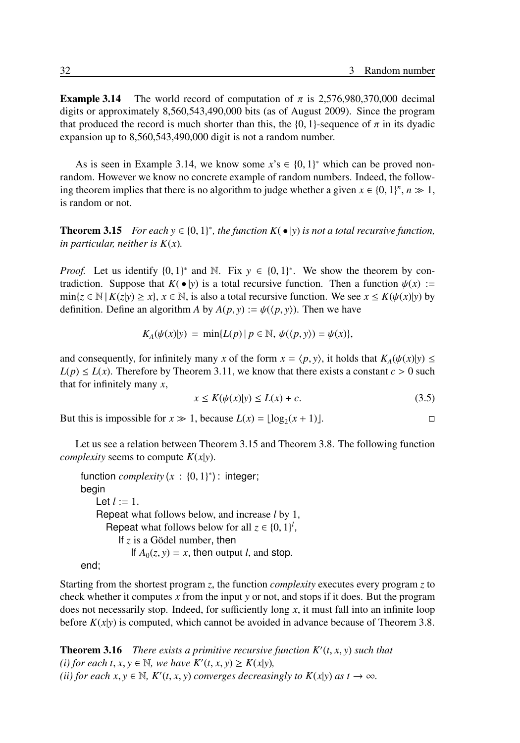**Example 3.14** The world record of computation of  $\pi$  is 2.576,980,370,000 decimal digits or approximately 8,560,543,490,000 bits (as of August 2009). Since the program that produced the record is much shorter than this, the {0, 1}-sequence of  $\pi$  in its dyadic expansion up to 8,560,543,490,000 digit is not a random number.

As is seen in Example 3.14, we know some  $x$ 's  $\in \{0, 1\}^*$  which can be proved nonrandom. However we know no concrete example of random numbers. Indeed, the following theorem implies that there is no algorithm to judge whether a given  $x \in \{0, 1\}^n$ ,  $n \gg 1$ , is random or not.

**Theorem 3.15** *For each*  $y \in \{0, 1\}^*$ , the function  $K(\bullet|y)$  is not a total recursive function, *in particular, neither is K*(*x*)*.*

*Proof.* Let us identify  $\{0, 1\}^*$  and N. Fix  $y \in \{0, 1\}^*$ . We show the theorem by contradiction. Suppose that  $K(\bullet|y)$  is a total recursive function. Then a function  $\psi(x) :=$  $\min\{z \in \mathbb{N} \mid K(z|y) \ge x\}, x \in \mathbb{N},$  is also a total recursive function. We see  $x \le K(\psi(x)|y)$  by definition. Define an algorithm *A* by  $A(p, y) := \psi(\langle p, y \rangle)$ . Then we have

$$
K_A(\psi(x)|y) = \min\{L(p) | p \in \mathbb{N}, \psi(\langle p, y \rangle) = \psi(x)\},
$$

and consequently, for infinitely many *x* of the form  $x = \langle p, y \rangle$ , it holds that  $K_A(\psi(x)|y) \leq$  $L(p) \le L(x)$ . Therefore by Theorem 3.11, we know that there exists a constant  $c > 0$  such that for infinitely many *x*,

$$
x \le K(\psi(x)|y) \le L(x) + c. \tag{3.5}
$$

But this is impossible for  $x \gg 1$ , because  $L(x) = \lfloor \log_2(x + 1) \rfloor$ .

Let us see a relation between Theorem 3.15 and Theorem 3.8. The following function *complexity* seems to compute  $K(x|y)$ .

```
function complexity(x: \{0, 1\}^*): integer;
begin
   Let l := 1.
   Repeat what follows below, and increase l by 1,
      Repeat what follows below for all z \in \{0, 1\}^l,
         If z is a Gödel number, then
            If A_0(z, y) = x, then output l, and stop.
```

```
end;
```
Starting from the shortest program *z*, the function *complexity* executes every program *z* to check whether it computes *x* from the input *y* or not, and stops if it does. But the program does not necessarily stop. Indeed, for sufficiently long *x*, it must fall into an infinite loop before  $K(x|y)$  is computed, which cannot be avoided in advance because of Theorem 3.8.

Theorem 3.16 *There exists a primitive recursive function K*′ (*t*, *x*, *y*) *such that*  $f(t)$  *for each t*,  $x, y \in \mathbb{N}$ *, we have*  $K'(t, x, y) \ge K(x|y)$ *,* (*ii*) *for each*  $x, y \in \mathbb{N}$ *,*  $K'(t, x, y)$  *converges decreasingly to*  $K(x|y)$  *as*  $t \to \infty$ *.*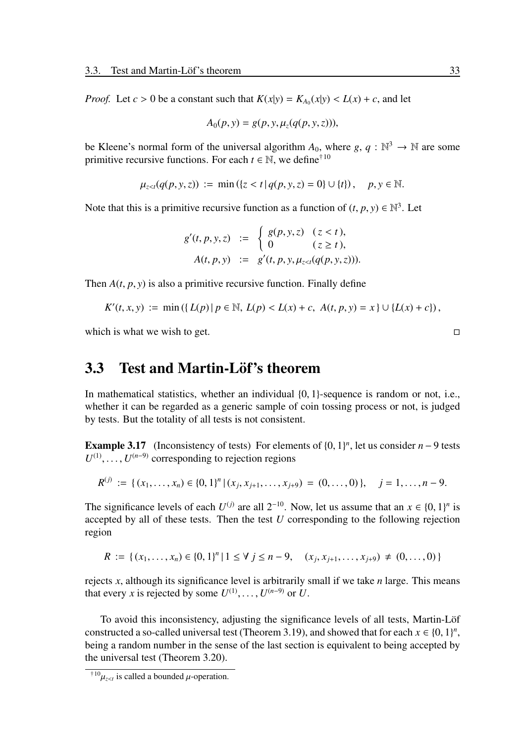*Proof.* Let  $c > 0$  be a constant such that  $K(x|y) = K_{A_0}(x|y) < L(x) + c$ , and let

$$
A_0(p, y) = g(p, y, \mu_z(q(p, y, z))),
$$

be Kleene's normal form of the universal algorithm  $A_0$ , where  $g, q : \mathbb{N}^3 \to \mathbb{N}$  are some primitive recursive functions. For each  $t \in \mathbb{N}$ , we define<sup>†10</sup>

$$
\mu_{z < t}(q(p, y, z)) := \min\left(\{z < t \mid q(p, y, z) = 0\} \cup \{t\}\right), \quad p, y \in \mathbb{N}.
$$

Note that this is a primitive recursive function as a function of  $(t, p, y) \in \mathbb{N}^3$ . Let

$$
g'(t, p, y, z) := \begin{cases} g(p, y, z) & (z < t), \\ 0 & (z \ge t), \end{cases}
$$
  
 
$$
A(t, p, y) := g'(t, p, y, \mu_{z < t}(q(p, y, z))).
$$

Then  $A(t, p, y)$  is also a primitive recursive function. Finally define

$$
K'(t, x, y) := \min\left(\left\{L(p) \,|\, p \in \mathbb{N}, L(p) < L(x) + c, A(t, p, y) = x\right\} \cup \left\{L(x) + c\right\}\right),
$$

which is what we wish to get.  $□$ 

## 3.3 Test and Martin-Löf's theorem

In mathematical statistics, whether an individual {0, 1}-sequence is random or not, i.e., whether it can be regarded as a generic sample of coin tossing process or not, is judged by tests. But the totality of all tests is not consistent.

**Example 3.17** (Inconsistency of tests) For elements of  $\{0, 1\}^n$ , let us consider  $n - 9$  tests  $U^{(1)}, \ldots, U^{(n-9)}$  corresponding to rejection regions

$$
R^{(j)} := \{ (x_1, \ldots, x_n) \in \{0, 1\}^n \mid (x_j, x_{j+1}, \ldots, x_{j+9}) = (0, \ldots, 0) \}, \quad j = 1, \ldots, n-9.
$$

The significance levels of each  $U^{(j)}$  are all  $2^{-10}$ . Now, let us assume that an  $x \in \{0, 1\}^n$  is accepted by all of these tests. Then the test *U* corresponding to the following rejection region

$$
R := \{ (x_1, \ldots, x_n) \in \{0, 1\}^n \mid 1 \le \forall \ j \le n-9, \quad (x_j, x_{j+1}, \ldots, x_{j+9}) \neq (0, \ldots, 0) \}
$$

rejects *x*, although its significance level is arbitrarily small if we take *n* large. This means that every *x* is rejected by some  $U^{(1)}, \ldots, U^{(n-9)}$  or *U*.

To avoid this inconsistency, adjusting the significance levels of all tests, Martin-Löf constructed a so-called universal test (Theorem 3.19), and showed that for each  $x \in \{0, 1\}^n$ , being a random number in the sense of the last section is equivalent to being accepted by the universal test (Theorem 3.20).

<sup>&</sup>lt;sup>†10</sup> $\mu_{z \lt t}$  is called a bounded  $\mu$ -operation.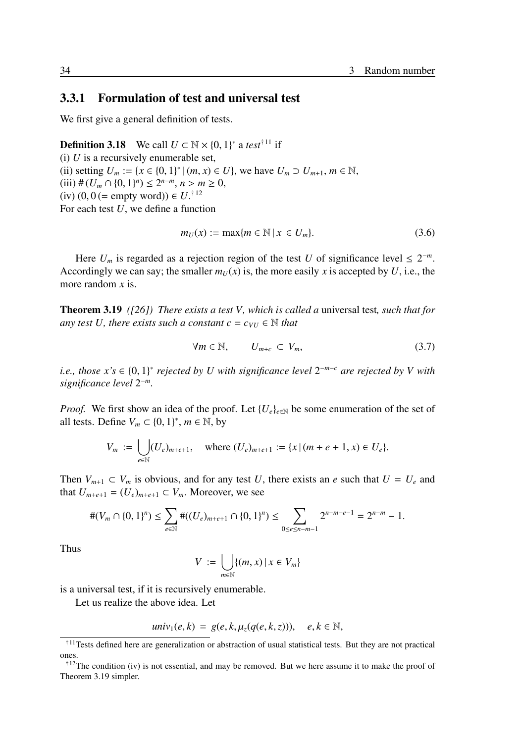#### 3.3.1 Formulation of test and universal test

We first give a general definition of tests.

**Definition 3.18** We call  $U \subset \mathbb{N} \times \{0, 1\}^*$  a *test*<sup>†11</sup> if (i)  $U$  is a recursively enumerable set, (ii) setting  $U_m := \{x \in \{0, 1\}^* \mid (m, x) \in U\}$ , we have  $U_m ⊃ U_{m+1}, m ∈ ℕ$ , (iii) # ( $U_m \cap \{0, 1\}^n$ ) ≤ 2<sup>*n*−*m*</sup>, *n* > *m* ≥ 0,  $(iv) (0, 0 (= empty word)) ∈ U.<sup>†12</sup>$ For each test *U*, we define a function

$$
m_U(x) := \max\{m \in \mathbb{N} \mid x \in U_m\}.\tag{3.6}
$$

Here  $U_m$  is regarded as a rejection region of the test *U* of significance level  $\leq 2^{-m}$ . Accordingly we can say; the smaller  $m_U(x)$  is, the more easily *x* is accepted by *U*, i.e., the more random *x* is.

Theorem 3.19 *([26]) There exists a test V, which is called a* universal test*, such that for any test U, there exists such a constant*  $c = c_{VU} \in \mathbb{N}$  *that* 

$$
\forall m \in \mathbb{N}, \qquad U_{m+c} \subset V_m,\tag{3.7}
$$

*i.e., those x's* ∈ {0, 1} ∗ *rejected by U with significance level* 2 <sup>−</sup>*m*−*<sup>c</sup> are rejected by V with significance level* 2 −*m .*

*Proof.* We first show an idea of the proof. Let  ${U_e}_{e \in \mathbb{N}}$  be some enumeration of the set of all tests. Define  $V_m \subset \{0, 1\}^*, m \in \mathbb{N}$ , by

$$
V_m := \bigcup_{e \in \mathbb{N}} (U_e)_{m+e+1}, \quad \text{where } (U_e)_{m+e+1} := \{x \mid (m+e+1, x) \in U_e\}.
$$

Then  $V_{m+1} \subset V_m$  is obvious, and for any test *U*, there exists an *e* such that  $U = U_e$  and that  $U_{m+e+1} = (U_e)_{m+e+1} \subset V_m$ . Moreover, we see

$$
\#(V_m \cap \{0,1\}^n) \le \sum_{e \in \mathbb{N}} \#((U_e)_{m+e+1} \cap \{0,1\}^n) \le \sum_{0 \le e \le n-m-1} 2^{n-m-e-1} = 2^{n-m} - 1.
$$

Thus

$$
V := \bigcup_{m \in \mathbb{N}} \{ (m, x) \mid x \in V_m \}
$$

is a universal test, if it is recursively enumerable.

Let us realize the above idea. Let

$$
univ_1(e,k) = g(e,k,\mu_z(q(e,k,z))), \quad e,k \in \mathbb{N},
$$

<sup>†</sup><sup>11</sup>Tests defined here are generalization or abstraction of usual statistical tests. But they are not practical ones.

 $\frac{12}{12}$ The condition (iv) is not essential, and may be removed. But we here assume it to make the proof of Theorem 3.19 simpler.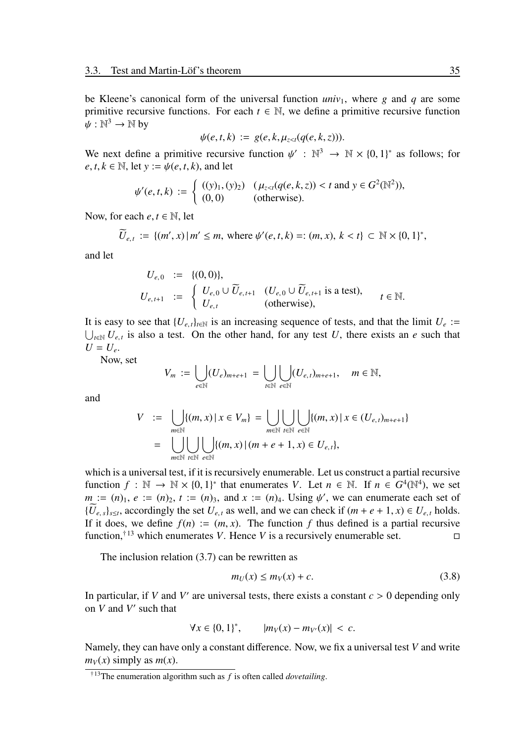be Kleene's canonical form of the universal function  $univ_1$ , where *g* and *q* are some primitive recursive functions. For each  $t \in \mathbb{N}$ , we define a primitive recursive function  $\psi: \mathbb{N}^3 \to \mathbb{N}$  by

$$
\psi(e,t,k) := g(e,k,\mu_{z
$$

We next define a primitive recursive function  $\psi': \mathbb{N}^3 \to \mathbb{N} \times \{0,1\}^*$  as follows; for  $e, t, k \in \mathbb{N}$ , let  $y := \psi(e, t, k)$ , and let

$$
\psi'(e, t, k) := \begin{cases} ((y)_1, (y)_2) & (\mu_{z < t}(q(e, k, z)) < t \text{ and } y \in G^2(\mathbb{N}^2)), \\ (0, 0) & \text{(otherwise).} \end{cases}
$$

Now, for each  $e, t \in \mathbb{N}$ , let

$$
\widetilde{U}_{e,t} := \{ (m',x) \, | \, m' \leq m, \text{ where } \psi'(e,t,k) =: (m,x), \, k < t \} \subset \mathbb{N} \times \{0,1\}^*,
$$

and let

$$
U_{e,0} := \{(0,0)\},
$$
  
\n
$$
U_{e,t+1} := \begin{cases} U_{e,0} \cup \widetilde{U}_{e,t+1} & (U_{e,0} \cup \widetilde{U}_{e,t+1} \text{ is a test}), \\ U_{e,t} & (\text{otherwise}), \end{cases} t \in \mathbb{N}.
$$

It is easy to see that  ${U_{e,t}}_{t \in \mathbb{N}}$  is an increasing sequence of tests, and that the limit  $U_e$  :=  $\bigcup_{t \in \mathbb{N}} U_{e,t}$  is also a test. On the other hand, for any test *U*, there exists an *e* such that  $U = U_e$ .

Now, set

$$
V_m := \bigcup_{e \in \mathbb{N}} (U_e)_{m+e+1} = \bigcup_{t \in \mathbb{N}} \bigcup_{e \in \mathbb{N}} (U_{e,t})_{m+e+1}, \quad m \in \mathbb{N},
$$

and

$$
V := \bigcup_{m \in \mathbb{N}} \{ (m, x) \mid x \in V_m \} = \bigcup_{m \in \mathbb{N}} \bigcup_{t \in \mathbb{N}} \{ (m, x) \mid x \in (U_{e,t})_{m+e+1} \}
$$
  
= 
$$
\bigcup_{m \in \mathbb{N}} \bigcup_{t \in \mathbb{N}} \bigcup_{e \in \mathbb{N}} \{ (m, x) \mid (m + e + 1, x) \in U_{e,t} \},
$$

which is a universal test, if it is recursively enumerable. Let us construct a partial recursive function  $f : \mathbb{N} \to \mathbb{N} \times \{0, 1\}^*$  that enumerates *V*. Let  $n \in \mathbb{N}$ . If  $n \in G^4(\mathbb{N}^4)$ , we set *m* :=  $(n)$ <sub>1</sub>,  $e$  :=  $(n)$ <sub>2</sub>,  $t$  :=  $(n)$ <sub>3</sub>, and  $x$  :=  $(n)$ <sub>4</sub>. Using  $\psi'$ , we can enumerate each set of  $\{U_{e,s}\}_{s\leq t}$ , accordingly the set  $U_{e,t}$  as well, and we can check if  $(m+e+1, x) \in U_{e,t}$  holds. If it does, we define  $f(n) := (m, x)$ . The function f thus defined is a partial recursive function,<sup>†13</sup> which enumerates *V*. Hence *V* is a recursively enumerable set.  $\Box$ 

The inclusion relation (3.7) can be rewritten as

$$
m_U(x) \le m_V(x) + c. \tag{3.8}
$$

In particular, if *V* and *V'* are universal tests, there exists a constant  $c > 0$  depending only on *V* and *V* ′ such that

$$
\forall x \in \{0, 1\}^*, \qquad |m_V(x) - m_{V'}(x)| < c.
$$

Namely, they can have only a constant difference. Now, we fix a universal test *V* and write  $m_V(x)$  simply as  $m(x)$ .

<sup>†</sup><sup>13</sup>The enumeration algorithm such as *f* is often called *dovetailing*.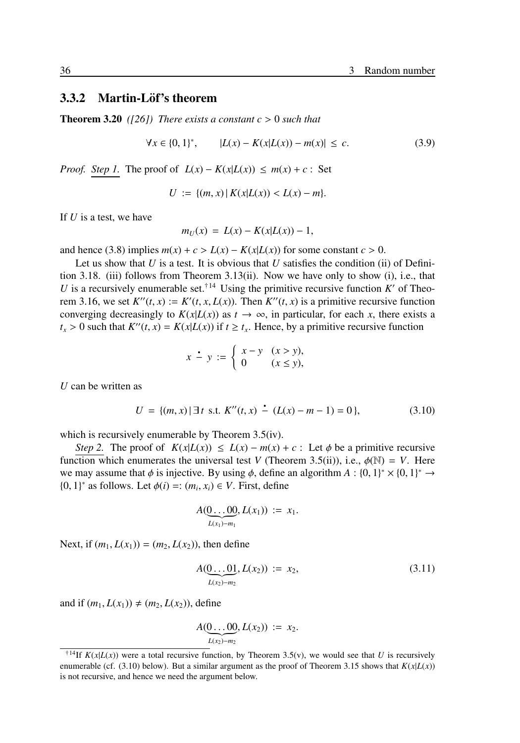#### 3.3.2 Martin-Löf's theorem

**Theorem 3.20** *([26])* There exists a constant  $c > 0$  such that

$$
\forall x \in \{0, 1\}^*, \qquad |L(x) - K(x|L(x)) - m(x)| \le c. \tag{3.9}
$$

*Proof. Step 1*. The proof of  $L(x) - K(x|L(x)) \le m(x) + c$ : Set

$$
U := \{(m, x) | K(x|L(x)) < L(x) - m\}.
$$

If *U* is a test, we have

$$
m_U(x) = L(x) - K(x|L(x)) - 1,
$$

and hence (3.8) implies  $m(x) + c > L(x) - K(x|L(x))$  for some constant  $c > 0$ .

Let us show that  $U$  is a test. It is obvious that  $U$  satisfies the condition (ii) of Definition 3.18. (iii) follows from Theorem 3.13(ii). Now we have only to show (i), i.e., that *U* is a recursively enumerable set.<sup>†14</sup> Using the primitive recursive function *K'* of Theorem 3.16, we set  $K''(t, x) := K'(t, x, L(x))$ . Then  $K''(t, x)$  is a primitive recursive function converging decreasingly to  $K(x|L(x))$  as  $t \to \infty$ , in particular, for each *x*, there exists a  $t_x > 0$  such that  $K''(t, x) = K(x|L(x))$  if  $t \ge t_x$ . Hence, by a primitive recursive function

$$
x \stackrel{\bullet}{-} y := \begin{cases} x - y & (x > y), \\ 0 & (x \le y), \end{cases}
$$

*U* can be written as

$$
U = \{(m, x) | \exists t \text{ s.t. } K''(t, x) - (L(x) - m - 1) = 0 \},
$$
\n(3.10)

which is recursively enumerable by Theorem 3.5(iv).

*Step 2.* The proof of  $K(x|L(x)) \le L(x) - m(x) + c$ : Let  $\phi$  be a primitive recursive function which enumerates the universal test *V* (Theorem 3.5(ii)), i.e.,  $\phi(\mathbb{N}) = V$ . Here we may assume that  $\phi$  is injective. By using  $\phi$ , define an algorithm  $A: \{0, 1\}^* \times \{0, 1\}^* \to$ {0, 1}<sup>\*</sup> as follows. Let  $\phi$ (*i*) =: (*m*<sub>*i*</sub>, *x*<sub>*i*</sub>) ∈ *V*. First, define

$$
A(\underbrace{0 \dots 00}_{L(x_1)-m_1}, L(x_1)) := x_1.
$$

Next, if  $(m_1, L(x_1)) = (m_2, L(x_2))$ , then define

$$
A(\underbrace{0\ldots 01}_{L(x_2)-m_2}, L(x_2)) := x_2,
$$
\n(3.11)

and if  $(m_1, L(x_1)) \neq (m_2, L(x_2))$ , define

$$
A(\underbrace{0\ldots 00}_{L(x_2)-m_2},L(x_2)) := x_2.
$$

<sup>&</sup>lt;sup>†14</sup>If  $K(x|L(x))$  were a total recursive function, by Theorem 3.5(v), we would see that *U* is recursively enumerable (cf. (3.10) below). But a similar argument as the proof of Theorem 3.15 shows that  $K(x|L(x))$ is not recursive, and hence we need the argument below.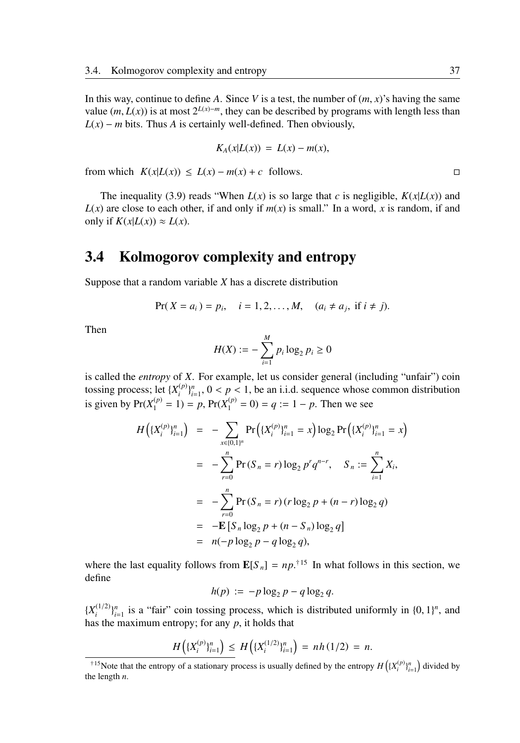In this way, continue to define A. Since V is a test, the number of  $(m, x)$ 's having the same value (*m*, *L*(*x*)) is at most  $2^{L(x)-m}$ , they can be described by programs with length less than  $L(x) - m$  bits. Thus *A* is certainly well-defined. Then obviously,

$$
K_A(x|L(x)) = L(x) - m(x),
$$

from which  $K(x|L(x)) \le L(x) - m(x) + c$  follows. □

The inequality (3.9) reads "When  $L(x)$  is so large that *c* is negligible,  $K(x|L(x))$  and  $L(x)$  are close to each other, if and only if  $m(x)$  is small." In a word, x is random, if and only if  $K(x|L(x)) \approx L(x)$ .

## 3.4 Kolmogorov complexity and entropy

Suppose that a random variable *X* has a discrete distribution

$$
Pr(X = a_i) = p_i, \quad i = 1, 2, ..., M, \quad (a_i \neq a_j, \text{ if } i \neq j).
$$

Then

$$
H(X) := -\sum_{i=1}^{M} p_i \log_2 p_i \ge 0
$$

is called the *entropy* of *X*. For example, let us consider general (including "unfair") coin tossing process; let  $\{X_i^{(p)}\}$  $\binom{p}{i}$ <sub> $i=1$ </sub>,  $0 < p < 1$ , be an i.i.d. sequence whose common distribution is given by  $Pr(X_1^{(p)} = 1) = p$ ,  $Pr(X_1^{(p)} = 0) = q := 1 - p$ . Then we see

$$
H\left(\{X_i^{(p)}\}_{i=1}^n\right) = -\sum_{x \in \{0,1\}^n} \Pr\left(\{X_i^{(p)}\}_{i=1}^n = x\right) \log_2 \Pr\left(\{X_i^{(p)}\}_{i=1}^n = x\right)
$$
  

$$
= -\sum_{r=0}^n \Pr(S_n = r) \log_2 p^r q^{n-r}, \quad S_n := \sum_{i=1}^n X_i,
$$
  

$$
= -\sum_{r=0}^n \Pr(S_n = r) (r \log_2 p + (n-r) \log_2 q)
$$
  

$$
= -\mathbf{E} \left[S_n \log_2 p + (n - S_n) \log_2 q\right]
$$
  

$$
= n(-p \log_2 p - q \log_2 q),
$$

where the last equality follows from  $\mathbf{E}[S_n] = np^{1/15}$  In what follows in this section, we define

$$
h(p) := -p \log_2 p - q \log_2 q.
$$

 $\{X_i^{(1/2)}\}_{i=1}^n$  is a "fair" coin tossing process, which is distributed uniformly in  $\{0, 1\}^n$ , and has the maximum entropy; for any *p*, it holds that

$$
H\left(\{X_i^{(p)}\}_{i=1}^n\right) \le H\left(\{X_i^{(1/2)}\}_{i=1}^n\right) = nh(1/2) = n.
$$

<sup>&</sup>lt;sup>†15</sup>Note that the entropy of a stationary process is usually defined by the entropy  $H\left(\{X_i^{(p)}\}_{i=1}^n\right)$  divided by the length *n*.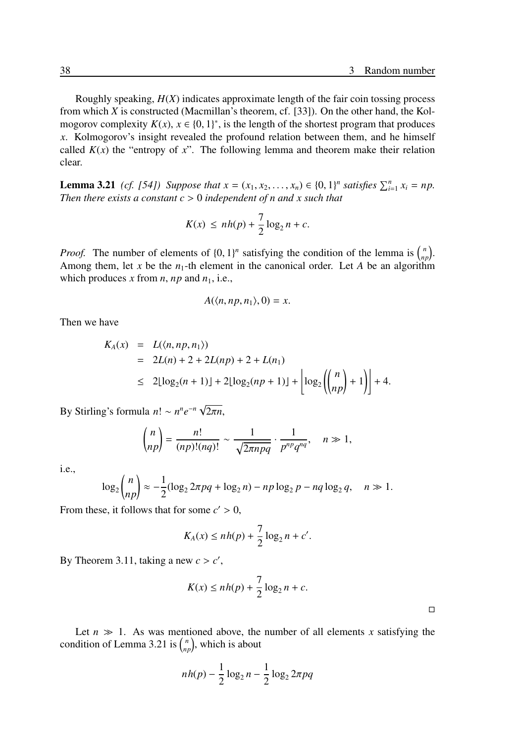Roughly speaking, *H*(*X*) indicates approximate length of the fair coin tossing process from which *X* is constructed (Macmillan's theorem, cf. [33]). On the other hand, the Kolmogorov complexity  $K(x)$ ,  $x \in \{0, 1\}^*$ , is the length of the shortest program that produces *x*. Kolmogorov's insight revealed the profound relation between them, and he himself called  $K(x)$  the "entropy of x". The following lemma and theorem make their relation clear.

**Lemma 3.21** *(cf. [54])* Suppose that  $x = (x_1, x_2, ..., x_n) \in \{0, 1\}^n$  satisfies  $\sum_{i=1}^n x_i = np$ . *Then there exists a constant c* > 0 *independent of n and x such that*

$$
K(x) \le nh(p) + \frac{7}{2}\log_2 n + c.
$$

*Proof.* The number of elements of  $\{0, 1\}^n$  satisfying the condition of the lemma is  $\binom{n}{np}$ . Among them, let x be the  $n_1$ -th element in the canonical order. Let A be an algorithm which produces *x* from *n*, *np* and  $n_1$ , i.e.,

$$
A(\langle n, np, n_1 \rangle, 0) = x.
$$

Then we have

$$
K_A(x) = L(\langle n, np, n_1 \rangle)
$$
  
= 2L(n) + 2 + 2L(np) + 2 + L(n<sub>1</sub>)  

$$
\leq 2\lfloor \log_2(n+1) \rfloor + 2\lfloor \log_2(np+1) \rfloor + \left\lfloor \log_2 \binom{n}{np} + 1 \right\rfloor + 4.
$$

By Stirling's formula *n*! ∼ *n ne* −*n* √ 2π*n*,

$$
\binom{n}{np} = \frac{n!}{(np)!(nq)!} \sim \frac{1}{\sqrt{2\pi npq}} \cdot \frac{1}{p^{np}q^{nq}}, \quad n \gg 1,
$$

i.e.,

$$
\log_2 \binom{n}{np} \approx -\frac{1}{2} (\log_2 2\pi pq + \log_2 n) - np \log_2 p - nq \log_2 q, \quad n \gg 1.
$$

From these, it follows that for some  $c' > 0$ ,

$$
K_A(x) \le nh(p) + \frac{7}{2}\log_2 n + c'.
$$

By Theorem 3.11, taking a new  $c > c'$ ,

$$
K(x) \le nh(p) + \frac{7}{2}\log_2 n + c.
$$

Let  $n \gg 1$ . As was mentioned above, the number of all elements *x* satisfying the condition of Lemma 3.21 is  $\binom{n}{np}$ , which is about

$$
nh(p) - \frac{1}{2}\log_2 n - \frac{1}{2}\log_2 2\pi pq
$$

□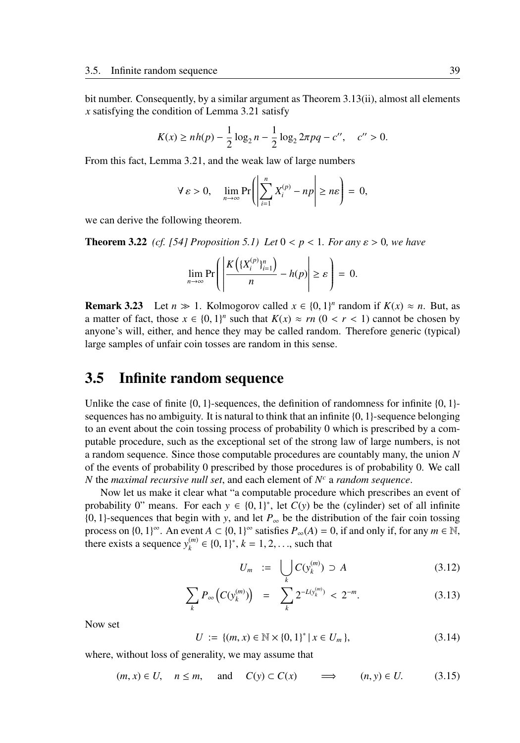bit number. Consequently, by a similar argument as Theorem 3.13(ii), almost all elements *x* satisfying the condition of Lemma 3.21 satisfy

$$
K(x) \ge nh(p) - \frac{1}{2}\log_2 n - \frac{1}{2}\log_2 2\pi pq - c'', \quad c'' > 0.
$$

From this fact, Lemma 3.21, and the weak law of large numbers

$$
\forall \varepsilon > 0, \quad \lim_{n \to \infty} \Pr\left(\left|\sum_{i=1}^n X_i^{(p)} - np\right| \ge n\varepsilon\right) = 0,
$$

we can derive the following theorem.

**Theorem 3.22** *(cf. [54] Proposition 5.1) Let*  $0 < p < 1$ *. For any*  $\varepsilon > 0$ *, we have* 

$$
\lim_{n\to\infty}\Pr\left(\left|\frac{K\left(\{X_i^{(p)}\}_{i=1}^n\right)}{n}-h(p)\right|\geq\varepsilon\right)=0.
$$

**Remark 3.23** Let  $n \gg 1$ . Kolmogorov called  $x \in \{0, 1\}^n$  random if  $K(x) \approx n$ . But, as a matter of fact, those  $x \in \{0, 1\}^n$  such that  $K(x) \approx rn \ (0 < r < 1)$  cannot be chosen by anyone's will, either, and hence they may be called random. Therefore generic (typical) large samples of unfair coin tosses are random in this sense.

### 3.5 Infinite random sequence

Unlike the case of finite  $\{0, 1\}$ -sequences, the definition of randomness for infinite  $\{0, 1\}$ sequences has no ambiguity. It is natural to think that an infinite  $\{0, 1\}$ -sequence belonging to an event about the coin tossing process of probability 0 which is prescribed by a computable procedure, such as the exceptional set of the strong law of large numbers, is not a random sequence. Since those computable procedures are countably many, the union *N* of the events of probability 0 prescribed by those procedures is of probability 0. We call *N* the *maximal recursive null set*, and each element of *N <sup>c</sup>* a *random sequence*.

Now let us make it clear what "a computable procedure which prescribes an event of probability 0" means. For each  $y \in \{0, 1\}^*$ , let  $C(y)$  be the (cylinder) set of all infinite {0, 1}-sequences that begin with *y*, and let *P*<sup>∞</sup> be the distribution of the fair coin tossing process on  $\{0, 1\}^{\infty}$ . An event  $A \subset \{0, 1\}^{\infty}$  satisfies  $P_{\infty}(A) = 0$ , if and only if, for any  $m \in \mathbb{N}$ , there exists a sequence  $y_k^{(m)}$  $k_k^{(m)}$  ∈ {0, 1}<sup>\*</sup>,  $k = 1, 2, \ldots$ , such that

$$
U_m := \bigcup_k C(y_k^{(m)}) \supset A \tag{3.12}
$$

$$
\sum_{k} P_{\infty} \left( C(y_k^{(m)}) \right) = \sum_{k} 2^{-L(y_k^{(m)})} < 2^{-m}.\tag{3.13}
$$

Now set

$$
U := \{ (m, x) \in \mathbb{N} \times \{0, 1\}^* \mid x \in U_m \},\tag{3.14}
$$

where, without loss of generality, we may assume that

$$
(m, x) \in U
$$
,  $n \le m$ , and  $C(y) \subset C(x)$   $\implies$   $(n, y) \in U$ . (3.15)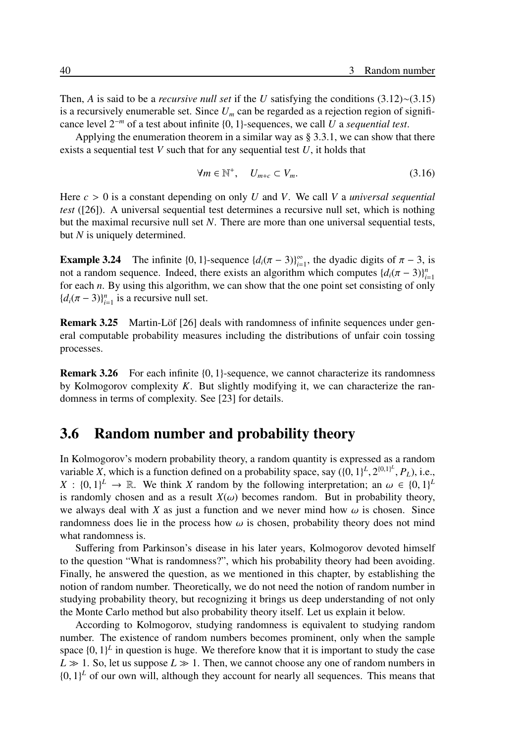Then, *A* is said to be a *recursive null set* if the *U* satisfying the conditions (3.12)∼(3.15) is a recursively enumerable set. Since  $U_m$  can be regarded as a rejection region of significance level 2<sup>−</sup>*<sup>m</sup>* of a test about infinite {0, 1}-sequences, we call *U* a *sequential test*.

Applying the enumeration theorem in a similar way as § 3.3.1, we can show that there exists a sequential test *V* such that for any sequential test *U*, it holds that

$$
\forall m \in \mathbb{N}^+, \quad U_{m+c} \subset V_m. \tag{3.16}
$$

Here  $c > 0$  is a constant depending on only *U* and *V*. We call *V* a *universal sequential test* ([26]). A universal sequential test determines a recursive null set, which is nothing but the maximal recursive null set *N*. There are more than one universal sequential tests, but *N* is uniquely determined.

**Example 3.24** The infinite  $\{0, 1\}$ -sequence  $\{d_i(\pi - 3)\}_{i=1}^{\infty}$ , the dyadic digits of  $\pi - 3$ , is not a random sequence. Indeed, there exists an algorithm which computes  $\{d_i(\pi - 3)\}_{i=1}^n$ for each *n*. By using this algorithm, we can show that the one point set consisting of only  ${d_i(\pi-3)}_{i=1}^n$  is a recursive null set.

**Remark 3.25** Martin-Löf [26] deals with randomness of infinite sequences under general computable probability measures including the distributions of unfair coin tossing processes.

**Remark 3.26** For each infinite  $\{0, 1\}$ -sequence, we cannot characterize its randomness by Kolmogorov complexity *K*. But slightly modifying it, we can characterize the randomness in terms of complexity. See [23] for details.

## 3.6 Random number and probability theory

In Kolmogorov's modern probability theory, a random quantity is expressed as a random variable *X*, which is a function defined on a probability space, say  $({0, 1}<sup>L</sup>, 2<sup>{0,1}<sup>L</sup>, P<sub>L</sub>),</sup>$  i.e.,  $X : \{0,1\}^L \to \mathbb{R}$ . We think *X* random by the following interpretation; an  $\omega \in \{0,1\}^L$ is randomly chosen and as a result  $X(\omega)$  becomes random. But in probability theory, we always deal with *X* as just a function and we never mind how  $\omega$  is chosen. Since randomness does lie in the process how  $\omega$  is chosen, probability theory does not mind what randomness is.

Suffering from Parkinson's disease in his later years, Kolmogorov devoted himself to the question "What is randomness?", which his probability theory had been avoiding. Finally, he answered the question, as we mentioned in this chapter, by establishing the notion of random number. Theoretically, we do not need the notion of random number in studying probability theory, but recognizing it brings us deep understanding of not only the Monte Carlo method but also probability theory itself. Let us explain it below.

According to Kolmogorov, studying randomness is equivalent to studying random number. The existence of random numbers becomes prominent, only when the sample space  $\{0, 1\}^L$  in question is huge. We therefore know that it is important to study the case  $L \gg 1$ . So, let us suppose  $L \gg 1$ . Then, we cannot choose any one of random numbers in  $\{0, 1\}^L$  of our own will, although they account for nearly all sequences. This means that